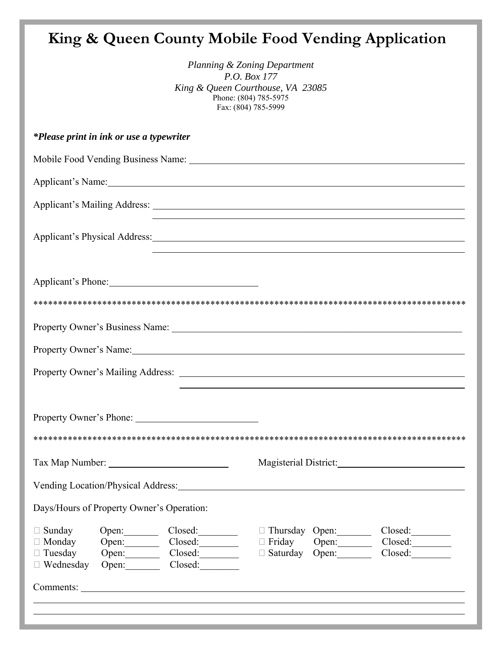# **King & Queen County Mobile Food Vending Application**

| Planning & Zoning Department      |
|-----------------------------------|
| <i>P.O. Box 177</i>               |
| King & Queen Courthouse, VA 23085 |
| Phone: (804) 785-5975             |
| Fax: (804) 785-5999               |

|                                                                      | <i>*Please print in ink or use a typewriter</i>                  |                                                                                                                                                                                                                                |               |                                                  |                                                                                  |
|----------------------------------------------------------------------|------------------------------------------------------------------|--------------------------------------------------------------------------------------------------------------------------------------------------------------------------------------------------------------------------------|---------------|--------------------------------------------------|----------------------------------------------------------------------------------|
|                                                                      |                                                                  |                                                                                                                                                                                                                                |               |                                                  |                                                                                  |
|                                                                      |                                                                  |                                                                                                                                                                                                                                |               |                                                  |                                                                                  |
|                                                                      |                                                                  | Applicant's Mailing Address: Lawrence and Security and Security and Security and Security and Security and Security and Security and Security and Security and Security and Security and Security and Security and Security an |               |                                                  |                                                                                  |
|                                                                      |                                                                  | Applicant's Physical Address: 1986.                                                                                                                                                                                            |               |                                                  |                                                                                  |
|                                                                      |                                                                  | Applicant's Phone:                                                                                                                                                                                                             |               |                                                  |                                                                                  |
|                                                                      |                                                                  |                                                                                                                                                                                                                                |               |                                                  |                                                                                  |
|                                                                      |                                                                  |                                                                                                                                                                                                                                |               |                                                  |                                                                                  |
|                                                                      |                                                                  | Property Owner's Name:<br><u>Property Owner's Name:</u>                                                                                                                                                                        |               |                                                  |                                                                                  |
|                                                                      |                                                                  |                                                                                                                                                                                                                                |               |                                                  | ,我们也不会有什么。""我们的人,我们也不会有什么?""我们的人,我们也不会有什么?""我们的人,我们也不会有什么?""我们的人,我们也不会有什么?""我们的人 |
|                                                                      |                                                                  |                                                                                                                                                                                                                                |               |                                                  |                                                                                  |
|                                                                      |                                                                  |                                                                                                                                                                                                                                |               |                                                  |                                                                                  |
|                                                                      |                                                                  |                                                                                                                                                                                                                                |               |                                                  | Magisterial District: Magisterial District:                                      |
|                                                                      | Vending Location/Physical Address:                               |                                                                                                                                                                                                                                |               |                                                  |                                                                                  |
|                                                                      | Days/Hours of Property Owner's Operation:                        |                                                                                                                                                                                                                                |               |                                                  |                                                                                  |
| $\Box$ Sunday<br>$\Box$ Monday<br>$\Box$ Tuesday<br>$\Box$ Wednesday | Open:<br>Open:<br>Open: $\qquad \qquad$<br>Open: $\qquad \qquad$ | Closed:<br>Closed:<br>Closed:                                                                                                                                                                                                  | $\Box$ Friday | Thursday Open:<br>Open:<br>$\Box$ Saturday Open: | Closed:<br>Closed:<br>Closed:                                                    |
|                                                                      |                                                                  |                                                                                                                                                                                                                                |               |                                                  |                                                                                  |
|                                                                      |                                                                  |                                                                                                                                                                                                                                |               |                                                  |                                                                                  |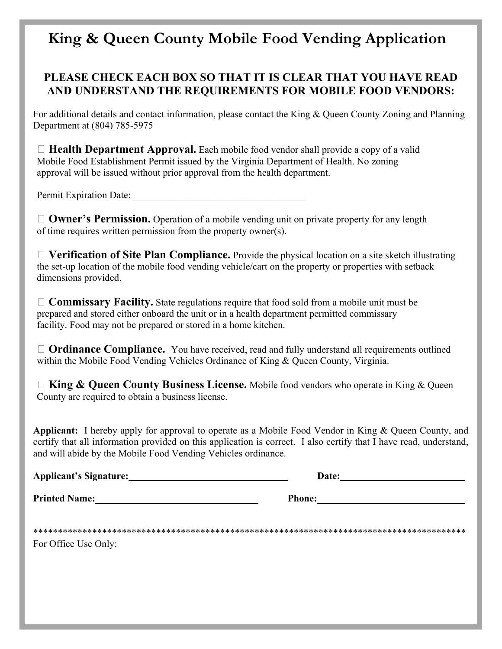## **King & Queen County Mobile Food Vending Application**

### **PLEASE CHECK EACH BOX SO THAT IT IS CLEAR THAT YOU HAVE READ AND UNDERSTAND THE REQUIREMENTS FOR MOBILE FOOD VENDORS:**

For additional details and contact information, please contact the King & Queen County Zoning and Planning Department at (804) 785-5975

 **Health Department Approval.** Each mobile food vendor shall provide a copy of a valid Mobile Food Establishment Permit issued by the Virginia Department of Health. No zoning approval will be issued without prior approval from the health department.

Permit Expiration Date:

□ **Owner's Permission.** Operation of a mobile vending unit on private property for any length of time requires written permission from the property owner(s).

 **Verification of Site Plan Compliance.** Provide the physical location on a site sketch illustrating the set-up location of the mobile food vending vehicle/cart on the property or properties with setback dimensions provided.

 **Commissary Facility.** State regulations require that food sold from a mobile unit must be prepared and stored either onboard the unit or in a health department permitted commissary facility. Food may not be prepared or stored in a home kitchen.

□ **Ordinance Compliance.** You have received, read and fully understand all requirements outlined within the Mobile Food Vending Vehicles Ordinance of King & Queen County, Virginia.

□ **King & Queen County Business License.** Mobile food vendors who operate in King & Queen County are required to obtain a business license.

**Applicant:** I hereby apply for approval to operate as a Mobile Food Vendor in King & Queen County, and certify that all information provided on this application is correct. I also certify that I have read, understand, and will abide by the Mobile Food Vending Vehicles ordinance.

| <b>Applicant's Signature:</b> | Date:         |  |
|-------------------------------|---------------|--|
| <b>Printed Name:</b>          | <b>Phone:</b> |  |
| For Office Use Only:          |               |  |
|                               |               |  |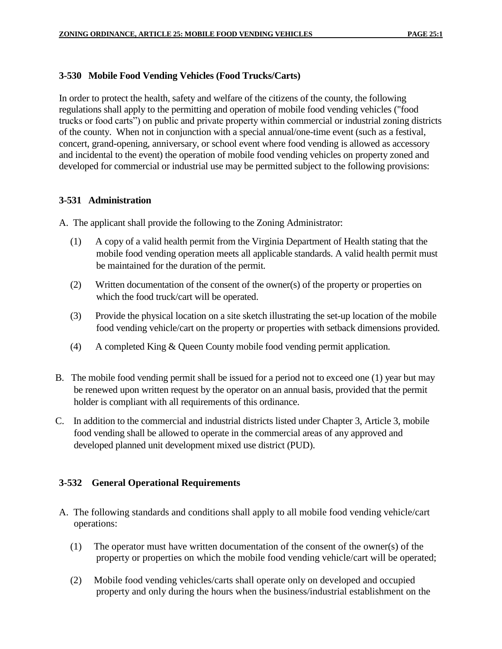#### **3-530 Mobile Food Vending Vehicles (Food Trucks/Carts)**

In order to protect the health, safety and welfare of the citizens of the county, the following regulations shall apply to the permitting and operation of mobile food vending vehicles ("food trucks or food carts") on public and private property within commercial or industrial zoning districts of the county. When not in conjunction with a special annual/one-time event (such as a festival, concert, grand-opening, anniversary, or school event where food vending is allowed as accessory and incidental to the event) the operation of mobile food vending vehicles on property zoned and developed for commercial or industrial use may be permitted subject to the following provisions:

#### **3-531 Administration**

A. The applicant shall provide the following to the Zoning Administrator:

- (1) A copy of a valid health permit from the Virginia Department of Health stating that the mobile food vending operation meets all applicable standards. A valid health permit must be maintained for the duration of the permit.
- (2) Written documentation of the consent of the owner(s) of the property or properties on which the food truck/cart will be operated.
- (3) Provide the physical location on a site sketch illustrating the set-up location of the mobile food vending vehicle/cart on the property or properties with setback dimensions provided.
- (4) A completed King & Queen County mobile food vending permit application.
- B. The mobile food vending permit shall be issued for a period not to exceed one (1) year but may be renewed upon written request by the operator on an annual basis, provided that the permit holder is compliant with all requirements of this ordinance.
- C. In addition to the commercial and industrial districts listed under Chapter 3, Article 3, mobile food vending shall be allowed to operate in the commercial areas of any approved and developed planned unit development mixed use district (PUD).

#### **3-532 General Operational Requirements**

- A. The following standards and conditions shall apply to all mobile food vending vehicle/cart operations:
	- (1) The operator must have written documentation of the consent of the owner(s) of the property or properties on which the mobile food vending vehicle/cart will be operated;
	- (2) Mobile food vending vehicles/carts shall operate only on developed and occupied property and only during the hours when the business/industrial establishment on the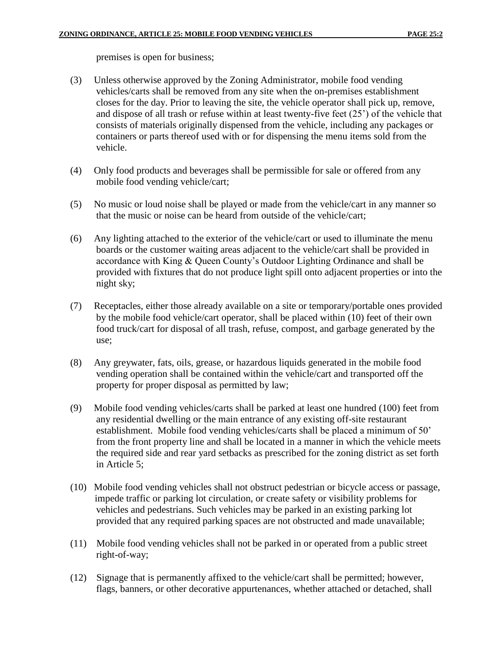premises is open for business;

- (3) Unless otherwise approved by the Zoning Administrator, mobile food vending vehicles/carts shall be removed from any site when the on-premises establishment closes for the day. Prior to leaving the site, the vehicle operator shall pick up, remove, and dispose of all trash or refuse within at least twenty-five feet (25') of the vehicle that consists of materials originally dispensed from the vehicle, including any packages or containers or parts thereof used with or for dispensing the menu items sold from the vehicle.
- (4) Only food products and beverages shall be permissible for sale or offered from any mobile food vending vehicle/cart;
- (5) No music or loud noise shall be played or made from the vehicle/cart in any manner so that the music or noise can be heard from outside of the vehicle/cart;
- (6) Any lighting attached to the exterior of the vehicle/cart or used to illuminate the menu boards or the customer waiting areas adjacent to the vehicle/cart shall be provided in accordance with King & Queen County's Outdoor Lighting Ordinance and shall be provided with fixtures that do not produce light spill onto adjacent properties or into the night sky;
- (7) Receptacles, either those already available on a site or temporary/portable ones provided by the mobile food vehicle/cart operator, shall be placed within (10) feet of their own food truck/cart for disposal of all trash, refuse, compost, and garbage generated by the use;
- (8) Any greywater, fats, oils, grease, or hazardous liquids generated in the mobile food vending operation shall be contained within the vehicle/cart and transported off the property for proper disposal as permitted by law;
- (9) Mobile food vending vehicles/carts shall be parked at least one hundred (100) feet from any residential dwelling or the main entrance of any existing off-site restaurant establishment. Mobile food vending vehicles/carts shall be placed a minimum of 50' from the front property line and shall be located in a manner in which the vehicle meets the required side and rear yard setbacks as prescribed for the zoning district as set forth in Article 5;
- (10) Mobile food vending vehicles shall not obstruct pedestrian or bicycle access or passage, impede traffic or parking lot circulation, or create safety or visibility problems for vehicles and pedestrians. Such vehicles may be parked in an existing parking lot provided that any required parking spaces are not obstructed and made unavailable;
- (11) Mobile food vending vehicles shall not be parked in or operated from a public street right-of-way;
- (12) Signage that is permanently affixed to the vehicle/cart shall be permitted; however, flags, banners, or other decorative appurtenances, whether attached or detached, shall